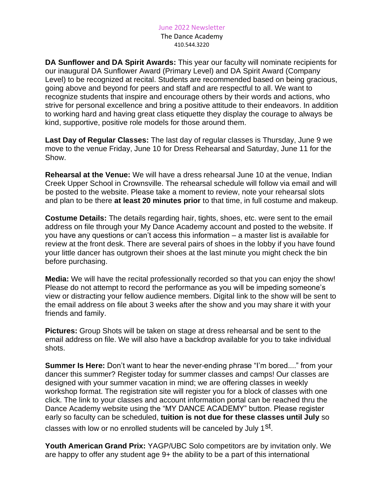## June 2022 Newsletter

The Dance Academy 410.544.3220

**DA Sunflower and DA Spirit Awards:** This year our faculty will nominate recipients for our inaugural DA Sunflower Award (Primary Level) and DA Spirit Award (Company Level) to be recognized at recital. Students are recommended based on being gracious, going above and beyond for peers and staff and are respectful to all. We want to recognize students that inspire and encourage others by their words and actions, who strive for personal excellence and bring a positive attitude to their endeavors. In addition to working hard and having great class etiquette they display the courage to always be kind, supportive, positive role models for those around them.

**Last Day of Regular Classes:** The last day of regular classes is Thursday, June 9 we move to the venue Friday, June 10 for Dress Rehearsal and Saturday, June 11 for the Show.

**Rehearsal at the Venue:** We will have a dress rehearsal June 10 at the venue, Indian Creek Upper School in Crownsville. The rehearsal schedule will follow via email and will be posted to the website. Please take a moment to review, note your rehearsal slots and plan to be there **at least 20 minutes prior** to that time, in full costume and makeup.

**Costume Details:** The details regarding hair, tights, shoes, etc. were sent to the email address on file through your My Dance Academy account and posted to the website. If you have any questions or can't access this information – a master list is available for review at the front desk. There are several pairs of shoes in the lobby if you have found your little dancer has outgrown their shoes at the last minute you might check the bin before purchasing.

**Media:** We will have the recital professionally recorded so that you can enjoy the show! Please do not attempt to record the performance as you will be impeding someone's view or distracting your fellow audience members. Digital link to the show will be sent to the email address on file about 3 weeks after the show and you may share it with your friends and family.

**Pictures:** Group Shots will be taken on stage at dress rehearsal and be sent to the email address on file. We will also have a backdrop available for you to take individual shots.

**Summer Is Here:** Don't want to hear the never-ending phrase "I'm bored...." from your dancer this summer? Register today for summer classes and camps! Our classes are designed with your summer vacation in mind; we are offering classes in weekly workshop format. The registration site will register you for a block of classes with one click. The link to your classes and account information portal can be reached thru the Dance Academy website using the "MY DANCE ACADEMY" button. Please register early so faculty can be scheduled, **tuition is not due for these classes until July** so classes with low or no enrolled students will be canceled by July 1<sup>st</sup>.

**Youth American Grand Prix:** YAGP/UBC Solo competitors are by invitation only. We are happy to offer any student age 9+ the ability to be a part of this international